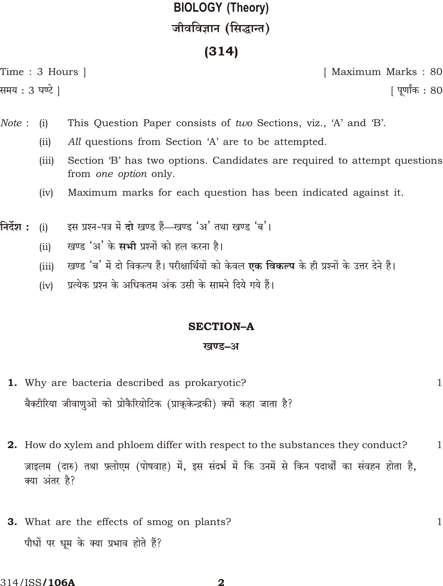# **BIOLOGY (Theory)** जीवविज्ञान (सिद्धान्त)

### $(314)$

Time: 3 Hours | समय : 3 घण्टे ]

[ Maximum Marks: 80

<u>|</u> पूर्णांक : 80

 $\mathbf 1$ 

- Note: This Question Paper consists of two Sections, viz., 'A' and 'B'.  $(i)$ 
	- All questions from Section 'A' are to be attempted.  $(ii)$
	- $(iii)$ Section 'B' has two options. Candidates are required to attempt questions from one option only.
	- $(iv)$ Maximum marks for each question has been indicated against it.
- निर्देश : इस प्रश्न-पत्र में दो खण्ड हैं—खण्ड 'अ' तथा खण्ड 'ब'।  $(i)$ 
	- खण्ड 'अ' के सभी प्रश्नों को हल करना है।  $(ii)$
	- खण्ड 'ब' में दो विकल्प हैं। परीक्षार्थियों को केवल **एक विकल्प** के ही प्रश्नों के उत्तर देने हैं।  $(iii)$
	- प्रत्येक प्रश्न के अधिकतम अंक उसी के सामने दिये गये हैं।  $(iv)$

### **SECTION-A**

#### खण्ड–अ

- 1. Why are bacteria described as prokaryotic? बैक्टीरिया जीवाणुओं को प्रोकैरियोटिक (प्राकुकेन्द्रकी) क्यों कहा जाता है?
- **2.** How do xylem and phloem differ with respect to the substances they conduct?  $\mathbf{1}$ ज़ाइलम (दारु) तथा फ़्लोएम (पोषवाह) में, इस संदर्भ में कि उनमें से किन पदार्थों का संवहन होता है, क्या अंतर है?
- 3. What are the effects of smog on plants?  $\mathbf{1}$ पौधों पर धम के क्या प्रभाव होते हैं?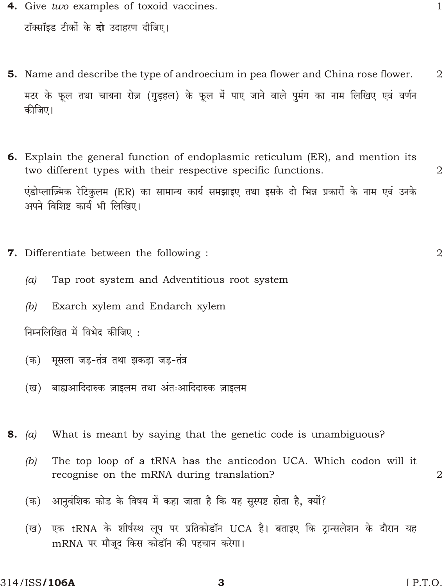- 4. Give two examples of toxoid vaccines. टॉक्सॉइड टीकों के दो उदाहरण दीजिए।
- **5.** Name and describe the type of androecium in pea flower and China rose flower.  $\overline{2}$ मटर के फूल तथा चायना रोज़ (गुड़हल) के फूल में पाए जाने वाले पुमंग का नाम लिखिए एवं वर्णन कीजिए।
- 6. Explain the general function of endoplasmic reticulum (ER), and mention its two different types with their respective specific functions.  $\overline{2}$ एंडोप्लाज़्मिक रेटिकुलम (ER) का सामान्य कार्य समझाइए तथा इसके दो भिन्न प्रकारों के नाम एवं उनके अपने विशिष्ट कार्य भी लिखिए।
- 7. Differentiate between the following:
	- Tap root system and Adventitious root system  $(a)$
	- $(b)$ Exarch xylem and Endarch xylem

निम्नलिखित में विभेद कीजिए:

- (क) मूसला जड़-तंत्र तथा झकड़ा जड़-तंत्र
- (ख) बाह्यआदिदारुक ज़ाइलम तथा अंतःआदिदारुक ज़ाइलम
- What is meant by saying that the genetic code is unambiguous? **8.** (*a*)
	- $(b)$ The top loop of a tRNA has the anticodon UCA. Which codon will it recognise on the mRNA during translation?
	- (क) आनुवंशिक कोड के विषय में कहा जाता है कि यह सुस्पष्ट होता है, क्यों?
	- एक tRNA के शीर्षस्थ लूप पर प्रतिकोडॉन UCA है। बताइए कि ट्रान्सलेशन के दौरान यह (ख) mRNA पर मौजूद किस कोडॉन की पहचान करेगा।

 $\overline{2}$ 

 $\mathbf{1}$ 

 $\overline{2}$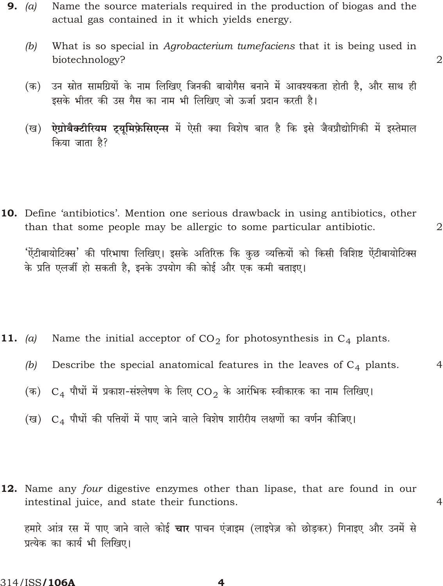- Name the source materials required in the production of biogas and the **9.** (a) actual gas contained in it which yields energy.
	- What is so special in Agrobacterium tumefaciens that it is being used in  $(b)$ biotechnology?

 $\overline{2}$ 

 $\overline{2}$ 

 $\overline{4}$ 

 $\overline{4}$ 

- उन स्रोत सामग्रियों के नाम लिखिए जिनकी बायोगैस बनाने में आवश्यकता होती है, और साथ ही (क) इसके भीतर की उस गैस का नाम भी लिखिए जो ऊर्जा प्रदान करती है।
- (ख) **ऐग्रोबैक्टीरियम ट्यूमिफ़ेसिएन्स** में ऐसी क्या विशेष बात है कि इसे जैवप्रौद्योगिकी में इस्तेमाल किया जाता है?

**10.** Define 'antibiotics'. Mention one serious drawback in using antibiotics, other than that some people may be allergic to some particular antibiotic.

'ऐंटीबायोटिक्स' की परिभाषा लिखिए। इसके अतिरिक्त कि कुछ व्यक्तियों को किसी विशिष्ट ऐंटीबायोटिक्स के प्रति एलर्जी हो सकती है, इनके उपयोग की कोई और एक कमी बताइए।

- Name the initial acceptor of  $CO<sub>2</sub>$  for photosynthesis in  $C<sub>4</sub>$  plants. 11.  $(a)$ 
	- $(b)$ Describe the special anatomical features in the leaves of  $C_4$  plants.
	- $C_4$  पौधों में प्रकाश-संश्लेषण के लिए  $CO_2$  के आरंभिक स्वीकारक का नाम लिखिए। (क)
	- (ख) C4 पौधों की पत्तियों में पाए जाने वाले विशेष शारीरीय लक्षणों का वर्णन कीजिए।

12. Name any four digestive enzymes other than lipase, that are found in our intestinal juice, and state their functions.

हमारे आंत्र रस में पाए जाने वाले कोई **चार** पाचन एंजाइम (लाइपेज़ को छोड़कर) गिनाइए और उनमें से प्रत्येक का कार्य भी लिखिए।

4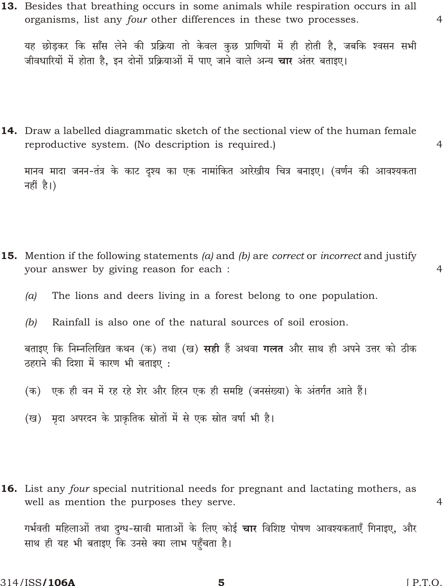13. Besides that breathing occurs in some animals while respiration occurs in all organisms, list any *four* other differences in these two processes.

यह छोड़कर कि साँस लेने की प्रक्रिया तो केवल कुछ प्राणियों में ही होती है, जबकि श्वसन सभी जीवधारियों में होता है, इन दोनों प्रक्रियाओं में पाए जाने वाले अन्य **चार** अंतर बताइए।

**14.** Draw a labelled diagrammatic sketch of the sectional view of the human female reproductive system. (No description is required.)

मानव मादा जनन-तंत्र के काट दृश्य का एक नामांकित आरेखीय चित्र बनाइए। (वर्णन की आवश्यकता नहीं है।)

- **15.** Mention if the following statements  $(a)$  and  $(b)$  are correct or incorrect and justify your answer by giving reason for each :
	- $(a)$ The lions and deers living in a forest belong to one population.
	- $(b)$ Rainfall is also one of the natural sources of soil erosion.

बताइए कि निम्नलिखित कथन (क) तथा (ख) **सही** हैं अथवा **गलत** और साथ ही अपने उत्तर को ठीक ठहराने की दिशा में कारण भी बताइए:

- (क) एक ही वन में रह रहे शेर और हिरन एक ही समष्टि (जनसंख्या) के अंतर्गत आते हैं।
- (ख) मदा अपरदन के प्राकृतिक स्रोतों में से एक स्रोत वर्षा भी है।
- 16. List any four special nutritional needs for pregnant and lactating mothers, as well as mention the purposes they serve.

गर्भवती महिलाओं तथा दुग्ध-स्रावी माताओं के लिए कोई **चार** विशिष्ट पोषण आवश्यकताएँ गिनाइए, और साथ ही यह भी बताइए कि उनसे क्या लाभ पहँचता है।

 $\overline{4}$ 

 $\overline{4}$ 

 $\overline{4}$ 

 $\overline{4}$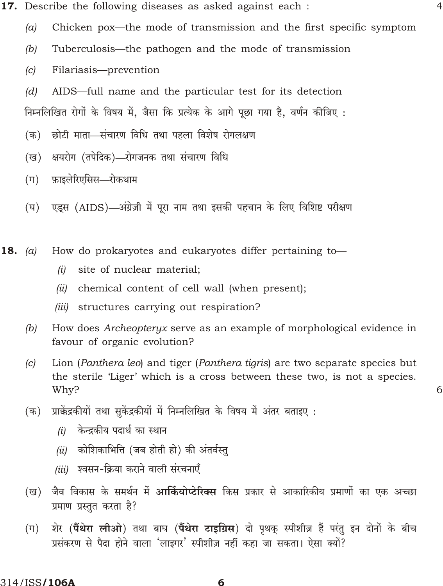- 17. Describe the following diseases as asked against each:
	- Chicken pox—the mode of transmission and the first specific symptom  $(a)$

 $\overline{4}$ 

6

- Tuberculosis—the pathogen and the mode of transmission  $(b)$
- $\left( c\right)$ Filariasis—prevention

 $(d)$ AIDS—full name and the particular test for its detection निम्नलिखित रोगों के विषय में, जैसा कि प्रत्येक के आगे पूछा गया है, वर्णन कीजिए :

- छोटी माता—संचारण विधि तथा पहला विशेष रोगलक्षण (क)
- क्षयरोग (तपेदिक)—रोगजनक तथा संचारण विधि (ख)
- $(\Pi)$ फ़ाइलेरिएसिस—रोकथाम
- एड्स (AIDS)—अंग्रेज़ी में पूरा नाम तथा इसकी पहचान के लिए विशिष्ट परीक्षण (घ)

18.  $(a)$ How do prokaryotes and eukaryotes differ pertaining to-

- site of nuclear material;  $(i)$
- (ii) chemical content of cell wall (when present);
- *(iii)* structures carrying out respiration?
- $(b)$ How does *Archeopteryx* serve as an example of morphological evidence in favour of organic evolution?
- Lion (Panthera leo) and tiger (Panthera tigris) are two separate species but  $(c)$ the sterile 'Liger' which is a cross between these two, is not a species. Why?
- प्राकेंद्रकीयों तथा सुकेंद्रकीयों में निम्नलिखित के विषय में अंतर बताइए : (क)
	- केन्द्रकीय पदार्थ का स्थान  $(i)$
	- *(ii)* कोशिकाभित्ति (जब होती हो) की अंतर्वस्तु
	- (iii) श्वसन-क्रिया कराने वाली संरचनाएँ
- जैव विकास के समर्थन में **आर्कियोप्टेरिक्स** किस प्रकार से आकारिकीय प्रमाणों का एक अच्छा (ख) प्रमाण प्रस्तुत करता है?
- शेर (**पैंथेरा लीओ**) तथा बाघ (**पैंथेरा टाइग्रिस**) दो पृथक् स्पीशीज़ हैं परंतु इन दोनों के बीच  $(\Pi)$ प्रसंकरण से पैदा होने वाला 'लाइगर' स्पीशीज़ नहीं कहा जा सकता। ऐसा क्यों?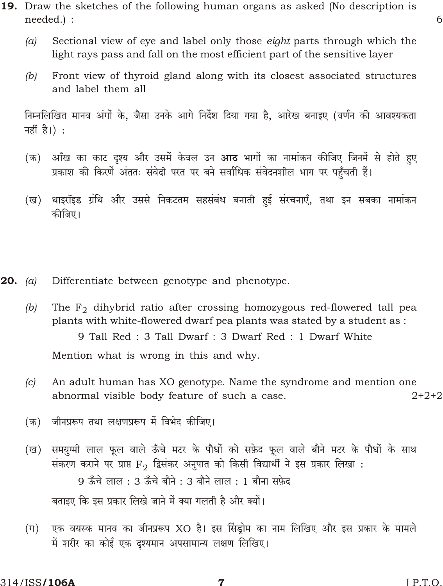- **19.** Draw the sketches of the following human organs as asked (No description is needed.) :
	- Sectional view of eye and label only those *eight* parts through which the  $(a)$ light rays pass and fall on the most efficient part of the sensitive layer
	- Front view of thyroid gland along with its closest associated structures  $(b)$ and label them all

निम्नलिखित मानव अंगों के, जैसा उनके आगे निर्देश दिया गया है, आरेख बनाइए (वर्णन की आवश्यकता नहीं है।):

- (क) आँख का काट दृश्य और उसमें केवल उन **आठ** भागों का नामांकन कीजिए जिनमें से होते हुए प्रकाश की किरणें अंततः संवेदी परत पर बने सर्वाधिक संवेदनशील भाग पर पहुँचती हैं।
- थाइरॉइड ग्रंथि और उससे निकटतम सहसंबंध बनाती हुई संरचनाएँ, तथा इन सबका नामांकन (ख) कीजिए।
- **20.** (a) Differentiate between genotype and phenotype.
	- The  $F_2$  dihybrid ratio after crossing homozygous red-flowered tall pea  $(b)$ plants with white-flowered dwarf pea plants was stated by a student as : 9 Tall Red: 3 Tall Dwarf: 3 Dwarf Red: 1 Dwarf White Mention what is wrong in this and why.
	- $(c)$ An adult human has XO genotype. Name the syndrome and mention one abnormal visible body feature of such a case.  $2 + 2 + 2$
	- जीनप्ररूप तथा लक्षणप्ररूप में विभेद कीजिए। (क)
	- समयुग्मी लाल फूल वाले ऊँचे मटर के पौधों को सफ़ेद फूल वाले बौने मटर के पौधों के साथ (ख) संकरण कराने पर प्राप्त F<sub>2</sub> द्विसंकर अनुपात को किसी विद्यार्थी ने इस प्रकार लिखा : 9 ऊँचे लाल · 3 ऊँचे बौने · 3 बौने लाल · 1 बौना सफेद बताइए कि इस प्रकार लिखे जाने में क्या गलती है और क्यों।
	- एक वयस्क मानव का जीनप्ररूप XO है। इस सिंड्रोम का नाम लिखिए और इस प्रकार के मामले  $(\Pi)$ में शरीर का कोई एक दश्यमान अपसामान्य लक्षण लिखिए।

6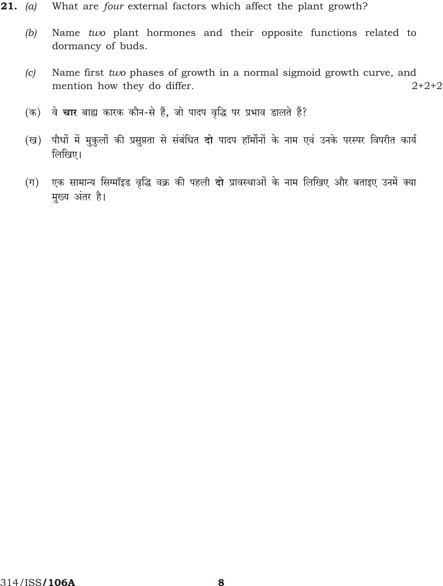- What are four external factors which affect the plant growth? **21.** (a)
	- $(b)$ Name two plant hormones and their opposite functions related to dormancy of buds.
	- $(c)$ Name first two phases of growth in a normal sigmoid growth curve, and mention how they do differ.  $2 + 2 + 2$
	- (क) वे **चार** बाह्य कारक कौन-से हैं, जो पादप वृद्धि पर प्रभाव डालते हैं?
	- (ख) पौधों में मुकुलों की प्रसूप्तता से संबंधित **दो** पादप हॉर्मोनों के नाम एवं उनके परस्पर विपरीत कार्य लिखिए।
	- एक सामान्य सिग्मॉइड वृद्धि वक्र की पहली दो प्रावस्थाओं के नाम लिखिए और बताइए उनमें क्या  $(\Pi)$ मख्य अंतर है।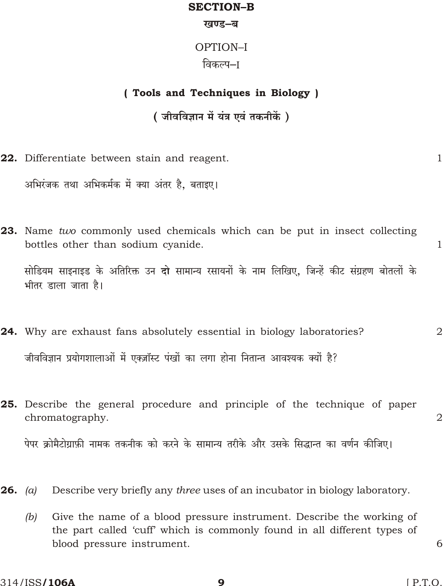# **SECTION-B**

#### खण्ड–ब

# OPTION-I

### विकल्प–ा

# (Tools and Techniques in Biology)

# (जीवविज्ञान में यंत्र एवं तकनीकें)

22. Differentiate between stain and reagent.

अभिरंजक तथा अभिकर्मक में क्या अंतर है, बताइए।

**23.** Name two commonly used chemicals which can be put in insect collecting bottles other than sodium cyanide.  $\mathbf{1}$ 

सोडियम साइनाइड के अतिरिक्त उन दो सामान्य रसायनों के नाम लिखिए, जिन्हें कीट संग्रहण बोतलों के भीतर डाला जाता है।

- **24.** Why are exhaust fans absolutely essential in biology laboratories? जीवविज्ञान प्रयोगशालाओं में एक्ज़ॉस्ट पंखों का लगा होना नितान्त आवश्यक क्यों है?
- 25. Describe the general procedure and principle of the technique of paper chromatography. पेपर क्रोमैटोग्राफ़ी नामक तकनीक को करने के सामान्य तरीके और उसके सिद्धान्त का वर्णन कीजिए।
- **26.** (a) Describe very briefly any *three* uses of an incubator in biology laboratory.
	- Give the name of a blood pressure instrument. Describe the working of  $(b)$ the part called 'cuff' which is commonly found in all different types of blood pressure instrument.

6

 $\mathbf{1}$ 

 $\overline{2}$ 

 $\overline{2}$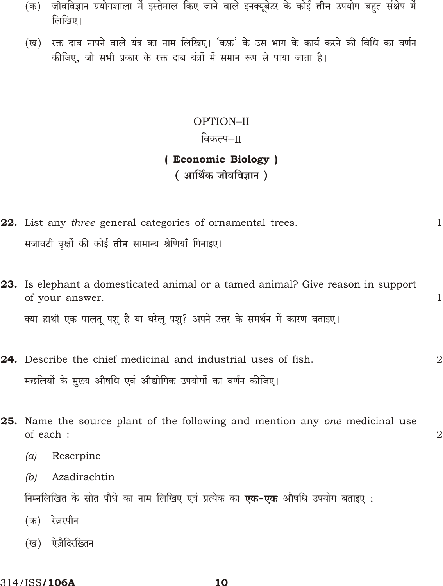- (क) जीवविज्ञान प्रयोगशाला में इस्तेमाल किए जाने वाले इनक्यूबेटर के कोई **तीन** उपयोग बहत संक्षेप में लिखिए।
- रक्त दाब नापने वाले यंत्र का नाम लिखिए। 'कफ़' के उस भाग के कार्य करने की विधि का वर्णन (ख) कीजिए, जो सभी प्रकार के रक्त दाब यंत्रों में समान रूप से पाया जाता है।

OPTION-II

विकल्प–II

# (Economic Biology) ( आर्थिक जीवविज्ञान )

- 22. List any three general categories of ornamental trees.  $\mathbf{1}$ सजावटी वृक्षों की कोई **तीन** सामान्य श्रेणियाँ गिनाइए।
- **23.** Is elephant a domesticated animal or a tamed animal? Give reason in support of your answer. क्या हाथी एक पालतू पशु है या घरेलू पशु? अपने उत्तर के समर्थन में कारण बताइए।

 $\mathbf{1}$ 

- 24. Describe the chief medicinal and industrial uses of fish.  $\overline{2}$ मछलियों के मुख्य औषधि एवं औद्योगिक उपयोगों का वर्णन कीजिए।
- 25. Name the source plant of the following and mention any one medicinal use of each:  $\overline{2}$ 
	- Reserpine  $(a)$
	- $(b)$ Azadirachtin

निम्नलिखित के स्रोत पौधे का नाम लिखिए एवं प्रत्येक का एक-एक औषधि उपयोग बताइए :

- (क) रेज़रपीन
- (ख) ऐज़ैदिरख़्तिन